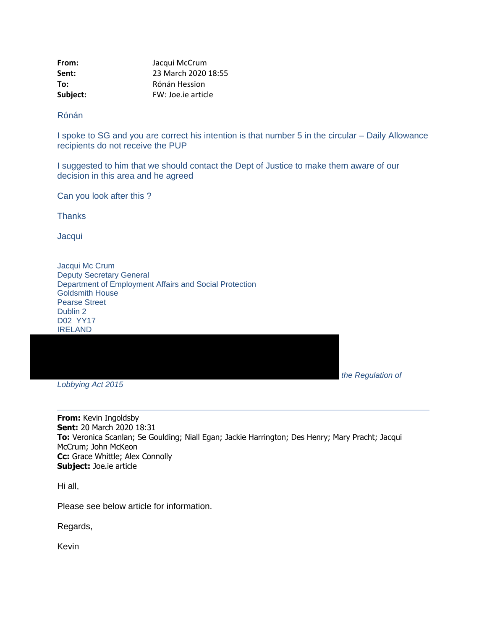| From:    | Jacqui McCrum       |
|----------|---------------------|
| Sent:    | 23 March 2020 18:55 |
| To:      | Rónán Hession       |
| Subject: | FW: Joe.ie article  |

Rónán

I spoke to SG and you are correct his intention is that number 5 in the circular – Daily Allowance recipients do not receive the PUP

I suggested to him that we should contact the Dept of Justice to make them aware of our decision in this area and he agreed

Can you look after this ?

**Thanks** 

**Jacqui** 

Jacqui Mc Crum Deputy Secretary General Department of Employment Affairs and Social Protection Goldsmith House Pearse Street Dublin 2 D02 YY17 IRELAND

*the Regulation of* 

*Lobbying Act 2015*

**From:** Kevin Ingoldsby **Sent:** 20 March 2020 18:31 **To:** Veronica Scanlan; Se Goulding; Niall Egan; Jackie Harrington; Des Henry; Mary Pracht; Jacqui McCrum; John McKeon **Cc:** Grace Whittle; Alex Connolly **Subject:** Joe.ie article

Hi all,

Please see below article for information.

Regards,

Kevin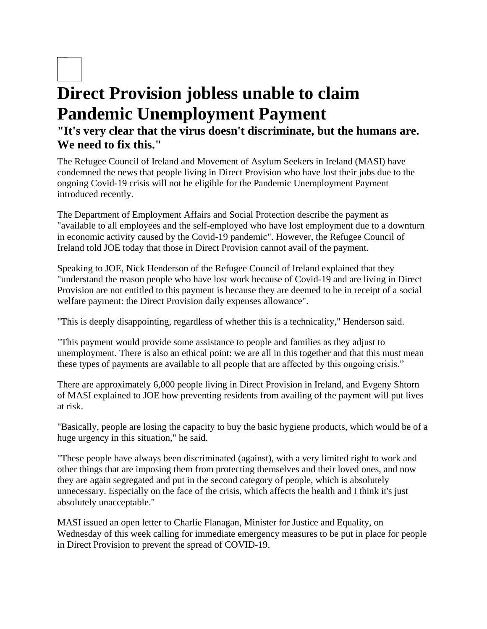## 2 hours ago **Direct Provision jobless unable to claim Pandemic Unemployment Payment "It's very clear that the virus doesn't discriminate, but the humans are. We need to fix this."**

The Refugee Council of Ireland and Movement of Asylum Seekers in Ireland (MASI) have condemned the news that people living in Direct Provision who have lost their jobs due to the ongoing Covid-19 crisis will not be eligible for the Pandemic Unemployment Payment introduced recently.

The Department of Employment Affairs and Social Protection describe the payment as "available to all employees and the self-employed who have lost employment due to a downturn in economic activity caused by the Covid-19 pandemic". However, the Refugee Council of Ireland told JOE today that those in Direct Provision cannot avail of the payment.

Speaking to JOE, Nick Henderson of the Refugee Council of Ireland explained that they "understand the reason people who have lost work because of Covid-19 and are living in Direct Provision are not entitled to this payment is because they are deemed to be in receipt of a social welfare payment: the Direct Provision daily expenses allowance".

"This is deeply disappointing, regardless of whether this is a technicality," Henderson said.

"This payment would provide some assistance to people and families as they adjust to unemployment. There is also an ethical point: we are all in this together and that this must mean these types of payments are available to all people that are affected by this ongoing crisis."

There are approximately 6,000 people living in Direct Provision in Ireland, and Evgeny Shtorn of MASI explained to JOE how preventing residents from availing of the payment will put lives at risk.

"Basically, people are losing the capacity to buy the basic hygiene products, which would be of a huge urgency in this situation," he said.

"These people have always been discriminated (against), with a very limited right to work and other things that are imposing them from protecting themselves and their loved ones, and now they are again segregated and put in the second category of people, which is absolutely unnecessary. Especially on the face of the crisis, which affects the health and I think it's just absolutely unacceptable."

MASI issued an open letter to Charlie Flanagan, Minister for Justice and Equality, on Wednesday of this week calling for immediate emergency measures to be put in place for people in Direct Provision to prevent the spread of COVID-19.